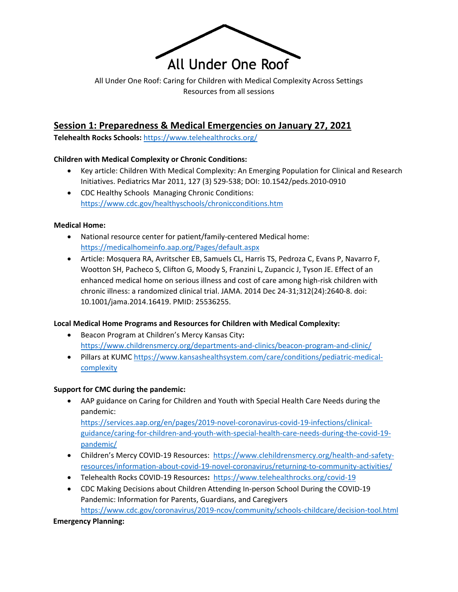

All Under One Roof: Caring for Children with Medical Complexity Across Settings Resources from all sessions

## **Session 1: Preparedness & Medical Emergencies on January 27, 2021**

**Telehealth Rocks Schools:** <https://www.telehealthrocks.org/>

#### **Children with Medical Complexity or Chronic Conditions:**

- Key article: Children With Medical Complexity: An Emerging Population for Clinical and Research Initiatives. Pediatrics Mar 2011, 127 (3) 529-538; DOI: 10.1542/peds.2010-0910
- CDC Healthy Schools Managing Chronic Conditions: <https://www.cdc.gov/healthyschools/chronicconditions.htm>

#### **Medical Home:**

- National resource center for patient/family-centered Medical home: <https://medicalhomeinfo.aap.org/Pages/default.aspx>
- Article: Mosquera RA, Avritscher EB, Samuels CL, Harris TS, Pedroza C, Evans P, Navarro F, Wootton SH, Pacheco S, Clifton G, Moody S, Franzini L, Zupancic J, Tyson JE. Effect of an enhanced medical home on serious illness and cost of care among high-risk children with chronic illness: a randomized clinical trial. JAMA. 2014 Dec 24-31;312(24):2640-8. doi: 10.1001/jama.2014.16419. PMID: 25536255.

## **Local Medical Home Programs and Resources for Children with Medical Complexity:**

- Beacon Program at Children's Mercy Kansas City**:** <https://www.childrensmercy.org/departments-and-clinics/beacon-program-and-clinic/>
- Pillars at KUMC [https://www.kansashealthsystem.com/care/conditions/pediatric-medical](https://www.kansashealthsystem.com/care/conditions/pediatric-medical-complexity)[complexity](https://www.kansashealthsystem.com/care/conditions/pediatric-medical-complexity)

## **Support for CMC during the pandemic:**

- AAP guidance on Caring for Children and Youth with Special Health Care Needs during the pandemic: [https://services.aap.org/en/pages/2019-novel-coronavirus-covid-19-infections/clinical](https://services.aap.org/en/pages/2019-novel-coronavirus-covid-19-infections/clinical-guidance/caring-for-children-and-youth-with-special-health-care-needs-during-the-covid-19-pandemic/)[guidance/caring-for-children-and-youth-with-special-health-care-needs-during-the-covid-19-](https://services.aap.org/en/pages/2019-novel-coronavirus-covid-19-infections/clinical-guidance/caring-for-children-and-youth-with-special-health-care-needs-during-the-covid-19-pandemic/)
- [pandemic/](https://services.aap.org/en/pages/2019-novel-coronavirus-covid-19-infections/clinical-guidance/caring-for-children-and-youth-with-special-health-care-needs-during-the-covid-19-pandemic/)  • Children's Mercy COVID-19 Resources: [https://www.clehildrensmercy.org/health-and-safety](https://www.clehildrensmercy.org/health-and-safety-resources/information-about-covid-19-novel-coronavirus/returning-to-community-activities/)[resources/information-about-covid-19-novel-coronavirus/returning-to-community-activities/](https://www.clehildrensmercy.org/health-and-safety-resources/information-about-covid-19-novel-coronavirus/returning-to-community-activities/)
- Telehealth Rocks COVID-19 Resources**:** <https://www.telehealthrocks.org/covid-19>
- CDC Making Decisions about Children Attending In-person School During the COVID-19 Pandemic: Information for Parents, Guardians, and Caregivers <https://www.cdc.gov/coronavirus/2019-ncov/community/schools-childcare/decision-tool.html>

#### **Emergency Planning:**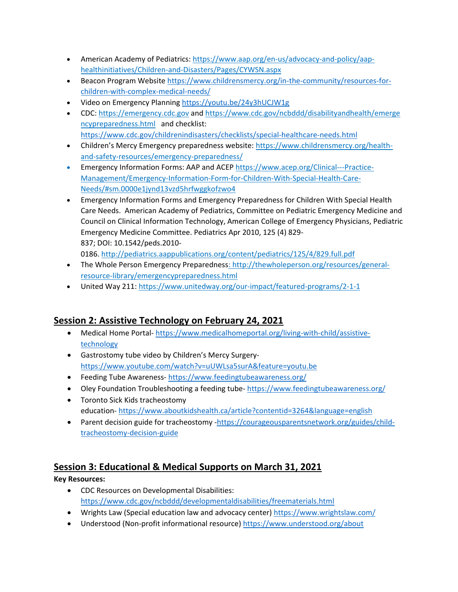- American Academy of Pediatrics: [https://www.aap.org/en-us/advocacy-and-policy/aap](https://www.aap.org/en-us/advocacy-and-policy/aap-health-initiatives/Children-and-Disasters/Pages/CYWSN.aspx)[healthinitiatives/Children-and-Disasters/Pages/CYWSN.aspx](https://www.aap.org/en-us/advocacy-and-policy/aap-health-initiatives/Children-and-Disasters/Pages/CYWSN.aspx)
- Beacon Program Website [https://www.childrensmercy.org/in-the-community/resources-for](https://www.childrensmercy.org/in-the-community/resources-for-children-with-complex-medical-needs/)[children-with-complex-medical-needs/](https://www.childrensmercy.org/in-the-community/resources-for-children-with-complex-medical-needs/)
- Video on Emergency Planning <https://youtu.be/24y3hUCJW1g>
- CDC: [https://emergency.cdc.gov](https://emergency.cdc.gov/) [an](https://emergency.cdc.gov/)d [https://www.cdc.gov/ncbddd/disabilityandhealth/emerge](https://www.cdc.gov/ncbddd/disabilityandhealth/emergencypreparedness.html) [ncypreparedness.html](https://www.cdc.gov/ncbddd/disabilityandhealth/emergencypreparedness.html) and checklist: <https://www.cdc.gov/childrenindisasters/checklists/special-healthcare-needs.html>
- Children's Mercy Emergency preparedness website: [https://www.childrensmercy.org/health](https://www.childrensmercy.org/health-and-safety-resources/emergency-preparedness/)[and-safety-resources/emergency-preparedness/](https://www.childrensmercy.org/health-and-safety-resources/emergency-preparedness/)
- Emergency Information Forms: AAP and ACEP [https://www.acep.org/Clinical---Practice-](https://www.acep.org/Clinical---Practice-Management/Emergency-Information-Form-for-Children-With-Special-Health-Care-Needs/)[Management/Emergency-Information-Form-for-Children-With-Special-Health-Care-](https://www.acep.org/Clinical---Practice-Management/Emergency-Information-Form-for-Children-With-Special-Health-Care-Needs/)[Needs/#sm.0000e1jynd13vzd5hrfwggkofzwo4](https://www.acep.org/Clinical---Practice-Management/Emergency-Information-Form-for-Children-With-Special-Health-Care-Needs/)
- Emergency Information Forms and Emergency Preparedness for Children With Special Health Care Needs. American Academy of Pediatrics, Committee on Pediatric Emergency Medicine and Council on Clinical Information Technology, American College of Emergency Physicians, Pediatric Emergency Medicine Committee. Pediatrics Apr 2010, 125 (4) 829- 837; DOI: 10.1542/peds.2010-

0186. <http://pediatrics.aappublications.org/content/pediatrics/125/4/829.full.pdf>

- The Whole Person Emergency Preparedness: [http://thewholeperson.org/resources/general](http://thewholeperson.org/resources/general-resource-library/emergency-preparedness.html)[resource-library/emergencypreparedness.html](http://thewholeperson.org/resources/general-resource-library/emergency-preparedness.html)
- United Way 211: <https://www.unitedway.org/our-impact/featured-programs/2-1-1>

# **Session 2: Assistive Technology on February 24, 2021**

- Medical Home Portal- [https://www.medicalhomeportal.org/living-with-child/assistive](https://www.medicalhomeportal.org/living-with-child/assistive-technology)[technology](https://www.medicalhomeportal.org/living-with-child/assistive-technology)
- Gastrostomy tube video by Children's Mercy Surgery<https://www.youtube.com/watch?v=uUWLsa5surA&feature=youtu.be>
- Feeding Tube Awareness- <https://www.feedingtubeawareness.org/>
- Oley Foundation Troubleshooting a feeding tube-<https://www.feedingtubeawareness.org/>
- Toronto Sick Kids tracheostomy education- <https://www.aboutkidshealth.ca/article?contentid=3264&language=english>
- Parent decision guide for tracheostomy [-https://courageousparentsnetwork.org/guides/child](https://courageousparentsnetwork.org/guides/child-tracheostomy-decision-guide)[tracheostomy-decision-guide](https://courageousparentsnetwork.org/guides/child-tracheostomy-decision-guide)

# **Session 3: Educational & Medical Supports on March 31, 2021**

# **Key Resources:**

- CDC Resources on Developmental Disabilities: <https://www.cdc.gov/ncbddd/developmentaldisabilities/freematerials.html>
- Wrights Law (Special education law and advocacy center)<https://www.wrightslaw.com/>
- Understood (Non-profit informational resource)<https://www.understood.org/about>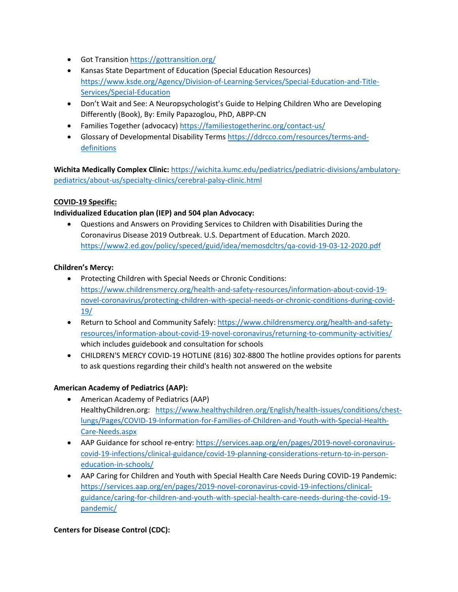- Got Transition<https://gottransition.org/>
- Kansas State Department of Education (Special Education Resources) [https://www.ksde.org/Agency/Division-of-Learning-Services/Special-Education-and-Title-](https://www.ksde.org/Agency/Division-of-Learning-Services/Special-Education-and-Title-Services/Special-Education)[Services/Special-Education](https://www.ksde.org/Agency/Division-of-Learning-Services/Special-Education-and-Title-Services/Special-Education)
- Don't Wait and See: A Neuropsychologist's Guide to Helping Children Who are Developing Differently (Book), By: Emily Papazoglou, PhD, ABPP-CN
- Families Together (advocacy[\) https://familiestogetherinc.org/contact-us/](https://familiestogetherinc.org/contact-us/)
- Glossary of Developmental Disability Terms [https://ddrcco.com/resources/terms-and](https://ddrcco.com/resources/terms-and-definitions)[definitions](https://ddrcco.com/resources/terms-and-definitions)

**Wichita Medically Complex Clinic:** [https://wichita.kumc.edu/pediatrics/pediatric-divisions/ambulatory](https://wichita.kumc.edu/pediatrics/pediatric-divisions/ambulatory-pediatrics/about-us/specialty-clinics/cerebral-palsy-clinic.html)[pediatrics/about-us/specialty-clinics/cerebral-palsy-clinic.html](https://wichita.kumc.edu/pediatrics/pediatric-divisions/ambulatory-pediatrics/about-us/specialty-clinics/cerebral-palsy-clinic.html)

## **COVID-19 Specific:**

## **Individualized Education plan (IEP) and 504 plan Advocacy:**

• Questions and Answers on Providing Services to Children with Disabilities During the Coronavirus Disease 2019 Outbreak. U.S. Department of Education. March 2020. [https://www2.ed.gov/policy/speced/guid/idea/memosdcltrs/qa-covid-19-03-12-2020.pdf](https://protect-us.mimecast.com/s/jGr8CBB2Rjcgp647fzePJz?domain=www2.ed.gov)

## **Children's Mercy:**

- Protecting Children with Special Needs or Chronic Conditions: [https://www.childrensmercy.org/health-and-safety-resources/information-about-covid-19](https://protect-us.mimecast.com/s/gTUdCKr25vFjzEn2SG6CyL?domain=childrensmercy.org/) [novel-coronavirus/protecting-children-with-special-needs-or-chronic-conditions-during-covid-](https://protect-us.mimecast.com/s/gTUdCKr25vFjzEn2SG6CyL?domain=childrensmercy.org/)[19/](https://protect-us.mimecast.com/s/gTUdCKr25vFjzEn2SG6CyL?domain=childrensmercy.org/)
- Return to School and Community Safely: [https://www.childrensmercy.org/health-and-safety](https://protect-us.mimecast.com/s/dLR0CL925wFJyj1RtrouKs?domain=childrensmercy.org/)[resources/information-about-covid-19-novel-coronavirus/returning-to-community-activities/](https://protect-us.mimecast.com/s/dLR0CL925wFJyj1RtrouKs?domain=childrensmercy.org/) which includes guidebook and consultation for schools
- CHILDREN'S MERCY COVID-19 HOTLINE (816) 302-8800 The hotline provides options for parents to ask questions regarding their child's health not answered on the website

## **American Academy of Pediatrics (AAP):**

- American Academy of Pediatrics (AAP) HealthyChildren.org: [https://www.healthychildren.org/English/health-issues/conditions/chest](https://protect-us.mimecast.com/s/2ND8CM825xuQMOZqiPPke4?domain=healthychildren.org)[lungs/Pages/COVID-19-Information-for-Families-of-Children-and-Youth-with-Special-Health-](https://protect-us.mimecast.com/s/2ND8CM825xuQMOZqiPPke4?domain=healthychildren.org)[Care-Needs.aspx](https://protect-us.mimecast.com/s/2ND8CM825xuQMOZqiPPke4?domain=healthychildren.org)
- AAP Guidance for school re-entry: [https://services.aap.org/en/pages/2019-novel-coronavirus](https://protect-us.mimecast.com/s/xK8UCNk25yu2DlB0fyCft2?domain=services.aap.org/)[covid-19-infections/clinical-guidance/covid-19-planning-considerations-return-to-in-person](https://protect-us.mimecast.com/s/xK8UCNk25yu2DlB0fyCft2?domain=services.aap.org/)[education-in-schools/](https://protect-us.mimecast.com/s/xK8UCNk25yu2DlB0fyCft2?domain=services.aap.org/)
- AAP Caring for Children and Youth with Special Health Care Needs During COVID-19 Pandemic: [https://services.aap.org/en/pages/2019-novel-coronavirus-covid-19-infections/clinical](https://protect-us.mimecast.com/s/TlgcCOY25zC6zRKpHw9_bn?domain=services.aap.org/)[guidance/caring-for-children-and-youth-with-special-health-care-needs-during-the-covid-19](https://protect-us.mimecast.com/s/TlgcCOY25zC6zRKpHw9_bn?domain=services.aap.org/) [pandemic/](https://protect-us.mimecast.com/s/TlgcCOY25zC6zRKpHw9_bn?domain=services.aap.org/)

## **Centers for Disease Control (CDC):**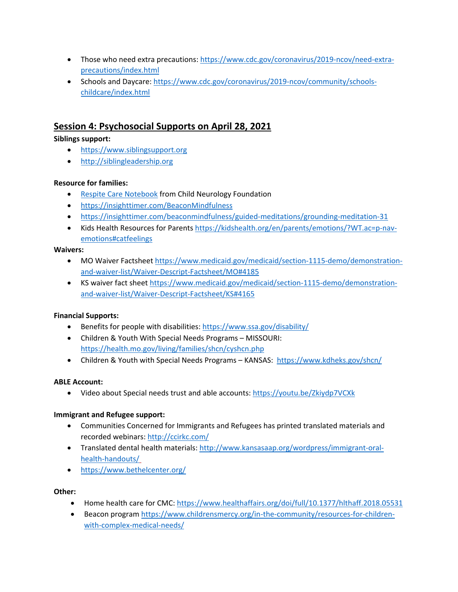- Those who need extra precautions: [https://www.cdc.gov/coronavirus/2019-ncov/need-extra](https://protect-us.mimecast.com/s/RqDbCPN95Ac78GxKSQnPF6?domain=cdc.gov)[precautions/index.html](https://protect-us.mimecast.com/s/RqDbCPN95Ac78GxKSQnPF6?domain=cdc.gov)
- Schools and Daycare: [https://www.cdc.gov/coronavirus/2019-ncov/community/schools](https://protect-us.mimecast.com/s/D5ajCQW25Bc5MAWkU5aMvI?domain=cdc.gov)[childcare/index.html](https://protect-us.mimecast.com/s/D5ajCQW25Bc5MAWkU5aMvI?domain=cdc.gov)

## **Session 4: Psychosocial Supports on April 28, 2021**

## **Siblings support:**

- [https://www.siblingsupport.org](https://www.siblingsupport.org/)
- [http://siblingleadership.org](http://siblingleadership.org/)

## **Resource for families:**

- [Respite Care Notebook](https://www.childneurologyfoundation.org/programs/respite-care/) from Child Neurology Foundation
- <https://insighttimer.com/BeaconMindfulness>
- <https://insighttimer.com/beaconmindfulness/guided-meditations/grounding-meditation-31>
- Kids Health Resources for Parents [https://kidshealth.org/en/parents/emotions/?WT.ac=p-nav](https://kidshealth.org/en/parents/emotions/?WT.ac=p-nav-emotions)[emotions#catfeelings](https://kidshealth.org/en/parents/emotions/?WT.ac=p-nav-emotions)

#### **Waivers:**

- MO Waiver Factsheet [https://www.medicaid.gov/medicaid/section-1115-demo/demonstration](https://www.medicaid.gov/medicaid/section-1115-demo/demonstration-and-waiver-list/Waiver-Descript-Factsheet/MO)[and-waiver-list/Waiver-Descript-Factsheet/MO#4185](https://www.medicaid.gov/medicaid/section-1115-demo/demonstration-and-waiver-list/Waiver-Descript-Factsheet/MO)
- KS waiver fact sheet [https://www.medicaid.gov/medicaid/section-1115-demo/demonstration](https://www.medicaid.gov/medicaid/section-1115-demo/demonstration-and-waiver-list/Waiver-Descript-Factsheet/KS)[and-waiver-list/Waiver-Descript-Factsheet/KS#4165](https://www.medicaid.gov/medicaid/section-1115-demo/demonstration-and-waiver-list/Waiver-Descript-Factsheet/KS)

## **Financial Supports:**

- Benefits for people with disabilities:<https://www.ssa.gov/disability/>
- Children & Youth With Special Needs Programs MISSOURI: <https://health.mo.gov/living/families/shcn/cyshcn.php>
- Children & Youth with Special Needs Programs KANSAS: <https://www.kdheks.gov/shcn/>

## **ABLE Account:**

• Video about Special needs trust and able accounts:<https://youtu.be/Zkiydp7VCXk>

## **Immigrant and Refugee support:**

- Communities Concerned for Immigrants and Refugees has printed translated materials and recorded webinars:<http://ccirkc.com/>
- Translated dental health materials: [http://www.kansasaap.org/wordpress/immigrant-oral](http://www.kansasaap.org/wordpress/immigrant-oral-health-handouts/)[health-handouts/](http://www.kansasaap.org/wordpress/immigrant-oral-health-handouts/)
- <https://www.bethelcenter.org/>

## **Other:**

- Home health care for CMC: <https://www.healthaffairs.org/doi/full/10.1377/hlthaff.2018.05531>
- Beacon program [https://www.childrensmercy.org/in-the-community/resources-for-children](https://www.childrensmercy.org/in-the-community/resources-for-children-with-complex-medical-needs/)[with-complex-medical-needs/](https://www.childrensmercy.org/in-the-community/resources-for-children-with-complex-medical-needs/)